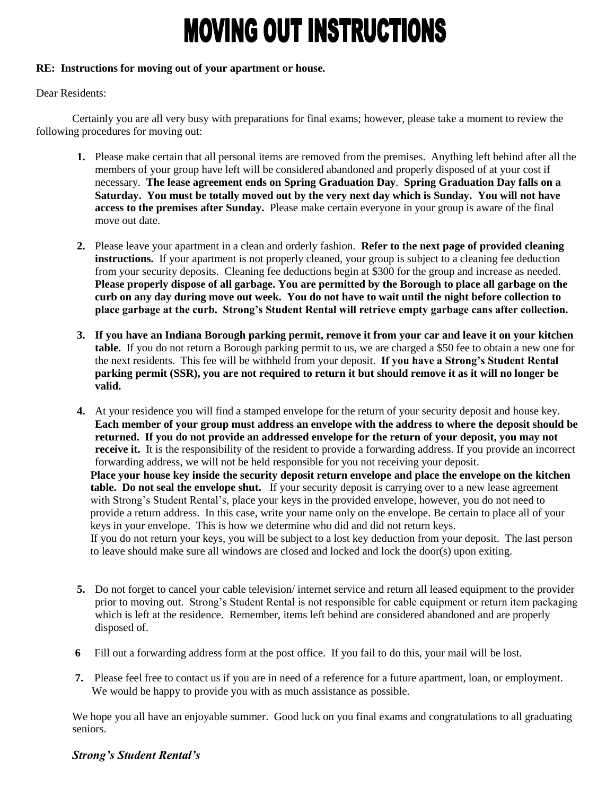# **MOVING OUT INSTRUCTIONS**

#### **RE: Instructions for moving out of your apartment or house.**

Dear Residents:

Certainly you are all very busy with preparations for final exams; however, please take a moment to review the following procedures for moving out:

- **1.** Please make certain that all personal items are removed from the premises. Anything left behind after all the members of your group have left will be considered abandoned and properly disposed of at your cost if necessary. **The lease agreement ends on Spring Graduation Day**. **Spring Graduation Day falls on a Saturday. You must be totally moved out by the very next day which is Sunday. You will not have access to the premises after Sunday.** Please make certain everyone in your group is aware of the final move out date.
- **2.** Please leave your apartment in a clean and orderly fashion. **Refer to the next page of provided cleaning instructions.** If your apartment is not properly cleaned, your group is subject to a cleaning fee deduction from your security deposits. Cleaning fee deductions begin at \$300 for the group and increase as needed. **Please properly dispose of all garbage. You are permitted by the Borough to place all garbage on the curb on any day during move out week. You do not have to wait until the night before collection to place garbage at the curb. Strong's Student Rental will retrieve empty garbage cans after collection.**
- **3. If you have an Indiana Borough parking permit, remove it from your car and leave it on your kitchen table.** If you do not return a Borough parking permit to us, we are charged a \$50 fee to obtain a new one for the next residents. This fee will be withheld from your deposit. **If you have a Strong's Student Rental parking permit (SSR), you are not required to return it but should remove it as it will no longer be valid.**
- **4.** At your residence you will find a stamped envelope for the return of your security deposit and house key. **Each member of your group must address an envelope with the address to where the deposit should be returned. If you do not provide an addressed envelope for the return of your deposit, you may not receive it.** It is the responsibility of the resident to provide a forwarding address. If you provide an incorrect forwarding address, we will not be held responsible for you not receiving your deposit. **Place your house key inside the security deposit return envelope and place the envelope on the kitchen table. Do not seal the envelope shut.** If your security deposit is carrying over to a new lease agreement with Strong's Student Rental's, place your keys in the provided envelope, however, you do not need to provide a return address. In this case, write your name only on the envelope. Be certain to place all of your keys in your envelope. This is how we determine who did and did not return keys. If you do not return your keys, you will be subject to a lost key deduction from your deposit. The last person to leave should make sure all windows are closed and locked and lock the door(s) upon exiting.
- **5.** Do not forget to cancel your cable television/ internet service and return all leased equipment to the provider prior to moving out. Strong's Student Rental is not responsible for cable equipment or return item packaging which is left at the residence. Remember, items left behind are considered abandoned and are properly disposed of.
- **6** Fill out a forwarding address form at the post office. If you fail to do this, your mail will be lost.
- **7.** Please feel free to contact us if you are in need of a reference for a future apartment, loan, or employment. We would be happy to provide you with as much assistance as possible.

We hope you all have an enjoyable summer. Good luck on you final exams and congratulations to all graduating seniors.

#### *Strong's Student Rental's*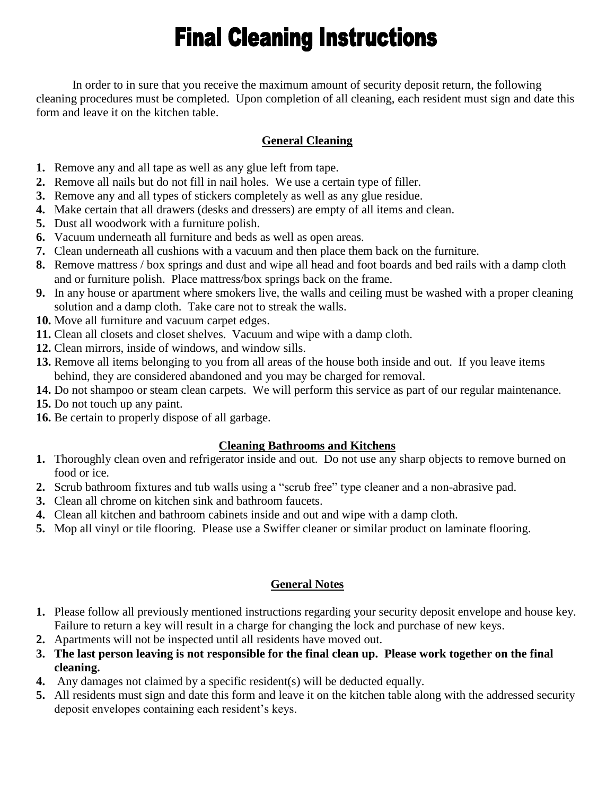# **Final Cleaning Instructions**

In order to in sure that you receive the maximum amount of security deposit return, the following cleaning procedures must be completed. Upon completion of all cleaning, each resident must sign and date this form and leave it on the kitchen table.

### **General Cleaning**

- **1.** Remove any and all tape as well as any glue left from tape.
- **2.** Remove all nails but do not fill in nail holes. We use a certain type of filler.
- **3.** Remove any and all types of stickers completely as well as any glue residue.
- **4.** Make certain that all drawers (desks and dressers) are empty of all items and clean.
- **5.** Dust all woodwork with a furniture polish.
- **6.** Vacuum underneath all furniture and beds as well as open areas.
- **7.** Clean underneath all cushions with a vacuum and then place them back on the furniture.
- **8.** Remove mattress / box springs and dust and wipe all head and foot boards and bed rails with a damp cloth and or furniture polish. Place mattress/box springs back on the frame.
- **9.** In any house or apartment where smokers live, the walls and ceiling must be washed with a proper cleaning solution and a damp cloth. Take care not to streak the walls.
- **10.** Move all furniture and vacuum carpet edges.
- **11.** Clean all closets and closet shelves. Vacuum and wipe with a damp cloth.
- **12.** Clean mirrors, inside of windows, and window sills.
- **13.** Remove all items belonging to you from all areas of the house both inside and out. If you leave items behind, they are considered abandoned and you may be charged for removal.
- **14.** Do not shampoo or steam clean carpets. We will perform this service as part of our regular maintenance.
- **15.** Do not touch up any paint.
- **16.** Be certain to properly dispose of all garbage.

#### **Cleaning Bathrooms and Kitchens**

- **1.** Thoroughly clean oven and refrigerator inside and out. Do not use any sharp objects to remove burned on food or ice.
- **2.** Scrub bathroom fixtures and tub walls using a "scrub free" type cleaner and a non-abrasive pad.
- **3.** Clean all chrome on kitchen sink and bathroom faucets.
- **4.** Clean all kitchen and bathroom cabinets inside and out and wipe with a damp cloth.
- **5.** Mop all vinyl or tile flooring. Please use a Swiffer cleaner or similar product on laminate flooring.

#### **General Notes**

- **1.** Please follow all previously mentioned instructions regarding your security deposit envelope and house key. Failure to return a key will result in a charge for changing the lock and purchase of new keys.
- **2.** Apartments will not be inspected until all residents have moved out.
- **3. The last person leaving is not responsible for the final clean up. Please work together on the final cleaning.**
- **4.** Any damages not claimed by a specific resident(s) will be deducted equally.
- **5.** All residents must sign and date this form and leave it on the kitchen table along with the addressed security deposit envelopes containing each resident's keys.